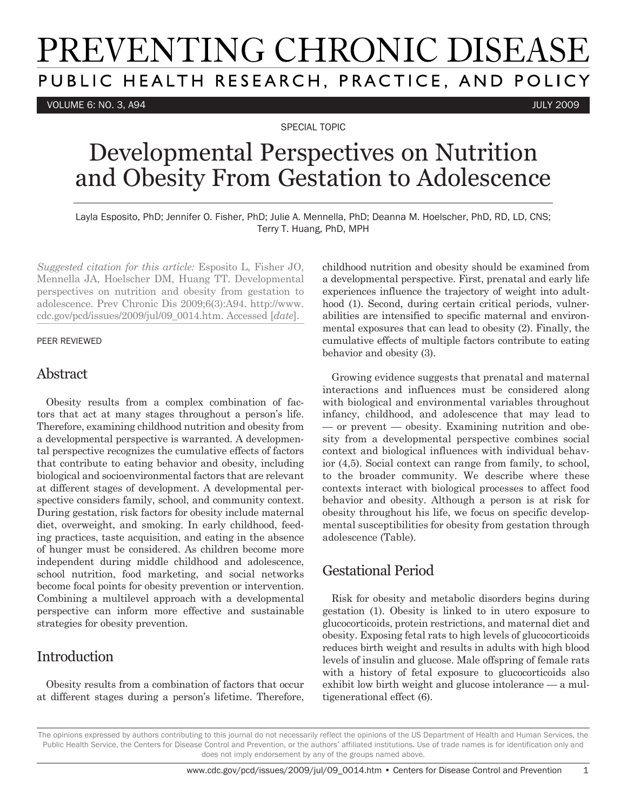# PREVENTING CHRONIC DISEASE PUBLIC HEALTH RESEARCH, PRACTICE, AND POLICY

VOLUME 6: NO. 3, A94 JULY 2009

SPECIAL TOPIC

## Developmental Perspectives on Nutrition and Obesity From Gestation to Adolescence

Layla Esposito, PhD; Jennifer O. Fisher, PhD; Julie A. Mennella, PhD; Deanna M. Hoelscher, PhD, RD, LD, CNS; Terry T. Huang, PhD, MPH

*Suggested citation for this article:* Esposito L, Fisher JO, Mennella JA, Hoelscher DM, Huang TT. Developmental perspectives on nutrition and obesity from gestation to adolescence. Prev Chronic Dis 2009;6(3):A94. http://www. cdc.gov/pcd/issues/2009/jul/09\_0014.htm. Accessed [*date*].

#### PEER REVIEWED

### Abstract

Obesity results from a complex combination of factors that act at many stages throughout a person's life. Therefore, examining childhood nutrition and obesity from a developmental perspective is warranted. A developmental perspective recognizes the cumulative effects of factors that contribute to eating behavior and obesity, including biological and socioenvironmental factors that are relevant at different stages of development. A developmental perspective considers family, school, and community context. During gestation, risk factors for obesity include maternal diet, overweight, and smoking. In early childhood, feeding practices, taste acquisition, and eating in the absence of hunger must be considered. As children become more independent during middle childhood and adolescence, school nutrition, food marketing, and social networks become focal points for obesity prevention or intervention. Combining a multilevel approach with a developmental perspective can inform more effective and sustainable strategies for obesity prevention.

## **Introduction**

Obesity results from a combination of factors that occur at different stages during a person's lifetime. Therefore, childhood nutrition and obesity should be examined from a developmental perspective. First, prenatal and early life experiences influence the trajectory of weight into adulthood (1). Second, during certain critical periods, vulnerabilities are intensified to specific maternal and environmental exposures that can lead to obesity (2). Finally, the cumulative effects of multiple factors contribute to eating behavior and obesity (3).

Growing evidence suggests that prenatal and maternal interactions and influences must be considered along with biological and environmental variables throughout infancy, childhood, and adolescence that may lead to — or prevent — obesity. Examining nutrition and obesity from a developmental perspective combines social context and biological influences with individual behavior (4,5). Social context can range from family, to school, to the broader community. We describe where these contexts interact with biological processes to affect food behavior and obesity. Although a person is at risk for obesity throughout his life, we focus on specific developmental susceptibilities for obesity from gestation through adolescence (Table).

## Gestational Period

Risk for obesity and metabolic disorders begins during gestation (1). Obesity is linked to in utero exposure to glucocorticoids, protein restrictions, and maternal diet and obesity. Exposing fetal rats to high levels of glucocorticoids reduces birth weight and results in adults with high blood levels of insulin and glucose. Male offspring of female rats with a history of fetal exposure to glucocorticoids also exhibit low birth weight and glucose intolerance — a multigenerational effect (6).

The opinions expressed by authors contributing to this journal do not necessarily reflect the opinions of the US Department of Health and Human Services, the Public Health Service, the Centers for Disease Control and Prevention, or the authors' affiliated institutions. Use of trade names is for identification only and does not imply endorsement by any of the groups named above.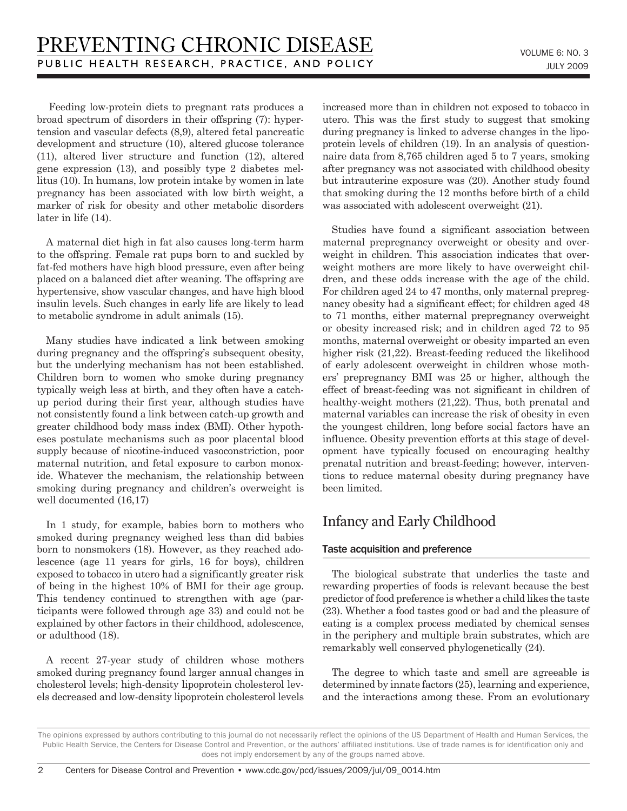Feeding low-protein diets to pregnant rats produces a broad spectrum of disorders in their offspring (7): hypertension and vascular defects (8,9), altered fetal pancreatic development and structure (10), altered glucose tolerance (11), altered liver structure and function (12), altered gene expression (13), and possibly type 2 diabetes mellitus (10). In humans, low protein intake by women in late pregnancy has been associated with low birth weight, a marker of risk for obesity and other metabolic disorders later in life (14).

A maternal diet high in fat also causes long-term harm to the offspring. Female rat pups born to and suckled by fat-fed mothers have high blood pressure, even after being placed on a balanced diet after weaning. The offspring are hypertensive, show vascular changes, and have high blood insulin levels. Such changes in early life are likely to lead to metabolic syndrome in adult animals (15).

Many studies have indicated a link between smoking during pregnancy and the offspring's subsequent obesity, but the underlying mechanism has not been established. Children born to women who smoke during pregnancy typically weigh less at birth, and they often have a catchup period during their first year, although studies have not consistently found a link between catch-up growth and greater childhood body mass index (BMI). Other hypotheses postulate mechanisms such as poor placental blood supply because of nicotine-induced vasoconstriction, poor maternal nutrition, and fetal exposure to carbon monoxide. Whatever the mechanism, the relationship between smoking during pregnancy and children's overweight is well documented (16,17)

In 1 study, for example, babies born to mothers who smoked during pregnancy weighed less than did babies born to nonsmokers (18). However, as they reached adolescence (age 11 years for girls, 16 for boys), children exposed to tobacco in utero had a significantly greater risk of being in the highest 10% of BMI for their age group. This tendency continued to strengthen with age (participants were followed through age 33) and could not be explained by other factors in their childhood, adolescence, or adulthood (18).

A recent 27-year study of children whose mothers smoked during pregnancy found larger annual changes in cholesterol levels; high-density lipoprotein cholesterol levels decreased and low-density lipoprotein cholesterol levels increased more than in children not exposed to tobacco in utero. This was the first study to suggest that smoking during pregnancy is linked to adverse changes in the lipoprotein levels of children (19). In an analysis of questionnaire data from 8,765 children aged 5 to 7 years, smoking after pregnancy was not associated with childhood obesity but intrauterine exposure was (20). Another study found that smoking during the 12 months before birth of a child was associated with adolescent overweight (21).

Studies have found a significant association between maternal prepregnancy overweight or obesity and overweight in children. This association indicates that overweight mothers are more likely to have overweight children, and these odds increase with the age of the child. For children aged 24 to 47 months, only maternal prepregnancy obesity had a significant effect; for children aged 48 to 71 months, either maternal prepregnancy overweight or obesity increased risk; and in children aged 72 to 95 months, maternal overweight or obesity imparted an even higher risk  $(21,22)$ . Breast-feeding reduced the likelihood of early adolescent overweight in children whose mothers' prepregnancy BMI was 25 or higher, although the effect of breast-feeding was not significant in children of healthy-weight mothers  $(21,22)$ . Thus, both prenatal and maternal variables can increase the risk of obesity in even the youngest children, long before social factors have an influence. Obesity prevention efforts at this stage of development have typically focused on encouraging healthy prenatal nutrition and breast-feeding; however, interventions to reduce maternal obesity during pregnancy have been limited.

## Infancy and Early Childhood

#### Taste acquisition and preference

The biological substrate that underlies the taste and rewarding properties of foods is relevant because the best predictor of food preference is whether a child likes the taste (23). Whether a food tastes good or bad and the pleasure of eating is a complex process mediated by chemical senses in the periphery and multiple brain substrates, which are remarkably well conserved phylogenetically (24).

The degree to which taste and smell are agreeable is determined by innate factors (25), learning and experience, and the interactions among these. From an evolutionary

The opinions expressed by authors contributing to this journal do not necessarily reflect the opinions of the US Department of Health and Human Services, the Public Health Service, the Centers for Disease Control and Prevention, or the authors' affiliated institutions. Use of trade names is for identification only and does not imply endorsement by any of the groups named above.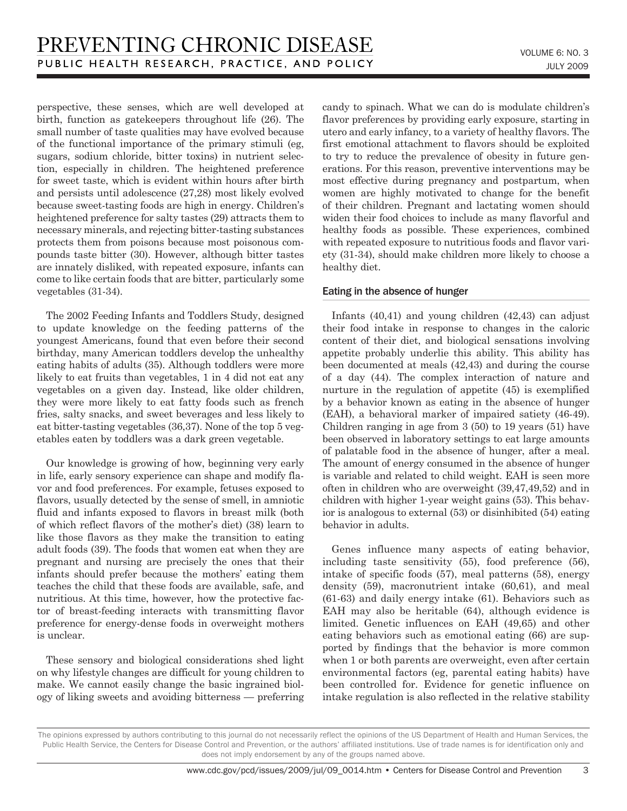perspective, these senses, which are well developed at birth, function as gatekeepers throughout life (26). The small number of taste qualities may have evolved because of the functional importance of the primary stimuli (eg, sugars, sodium chloride, bitter toxins) in nutrient selection, especially in children. The heightened preference for sweet taste, which is evident within hours after birth and persists until adolescence (27,28) most likely evolved because sweet-tasting foods are high in energy. Children's heightened preference for salty tastes (29) attracts them to necessary minerals, and rejecting bitter-tasting substances protects them from poisons because most poisonous compounds taste bitter (30). However, although bitter tastes are innately disliked, with repeated exposure, infants can come to like certain foods that are bitter, particularly some vegetables (31-34).

The 2002 Feeding Infants and Toddlers Study, designed to update knowledge on the feeding patterns of the youngest Americans, found that even before their second birthday, many American toddlers develop the unhealthy eating habits of adults (35). Although toddlers were more likely to eat fruits than vegetables, 1 in 4 did not eat any vegetables on a given day. Instead, like older children, they were more likely to eat fatty foods such as french fries, salty snacks, and sweet beverages and less likely to eat bitter-tasting vegetables (36,37). None of the top 5 vegetables eaten by toddlers was a dark green vegetable.

Our knowledge is growing of how, beginning very early in life, early sensory experience can shape and modify flavor and food preferences. For example, fetuses exposed to flavors, usually detected by the sense of smell, in amniotic fluid and infants exposed to flavors in breast milk (both of which reflect flavors of the mother's diet) (38) learn to like those flavors as they make the transition to eating adult foods (39). The foods that women eat when they are pregnant and nursing are precisely the ones that their infants should prefer because the mothers' eating them teaches the child that these foods are available, safe, and nutritious. At this time, however, how the protective factor of breast-feeding interacts with transmitting flavor preference for energy-dense foods in overweight mothers is unclear.

These sensory and biological considerations shed light on why lifestyle changes are difficult for young children to make. We cannot easily change the basic ingrained biology of liking sweets and avoiding bitterness — preferring candy to spinach. What we can do is modulate children's flavor preferences by providing early exposure, starting in utero and early infancy, to a variety of healthy flavors. The first emotional attachment to flavors should be exploited to try to reduce the prevalence of obesity in future generations. For this reason, preventive interventions may be most effective during pregnancy and postpartum, when women are highly motivated to change for the benefit of their children. Pregnant and lactating women should widen their food choices to include as many flavorful and healthy foods as possible. These experiences, combined with repeated exposure to nutritious foods and flavor variety (31-34), should make children more likely to choose a healthy diet.

#### Eating in the absence of hunger

Infants (40,41) and young children (42,43) can adjust their food intake in response to changes in the caloric content of their diet, and biological sensations involving appetite probably underlie this ability. This ability has been documented at meals (42,43) and during the course of a day (44). The complex interaction of nature and nurture in the regulation of appetite (45) is exemplified by a behavior known as eating in the absence of hunger (EAH), a behavioral marker of impaired satiety (46-49). Children ranging in age from 3 (50) to 19 years (51) have been observed in laboratory settings to eat large amounts of palatable food in the absence of hunger, after a meal. The amount of energy consumed in the absence of hunger is variable and related to child weight. EAH is seen more often in children who are overweight (39,47,49,52) and in children with higher 1-year weight gains (53). This behavior is analogous to external (53) or disinhibited (54) eating behavior in adults.

Genes influence many aspects of eating behavior, including taste sensitivity (55), food preference (56), intake of specific foods (57), meal patterns (58), energy density (59), macronutrient intake (60,61), and meal (61-63) and daily energy intake (61). Behaviors such as EAH may also be heritable (64), although evidence is limited. Genetic influences on EAH (49,65) and other eating behaviors such as emotional eating (66) are supported by findings that the behavior is more common when 1 or both parents are overweight, even after certain environmental factors (eg, parental eating habits) have been controlled for. Evidence for genetic influence on intake regulation is also reflected in the relative stability

The opinions expressed by authors contributing to this journal do not necessarily reflect the opinions of the US Department of Health and Human Services, the Public Health Service, the Centers for Disease Control and Prevention, or the authors' affiliated institutions. Use of trade names is for identification only and does not imply endorsement by any of the groups named above.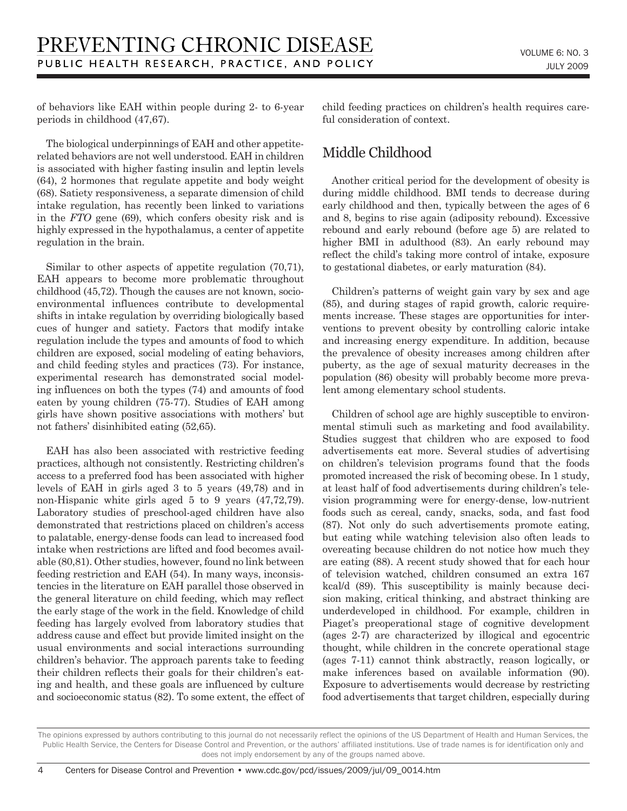of behaviors like EAH within people during 2- to 6-year periods in childhood (47,67).

The biological underpinnings of EAH and other appetiterelated behaviors are not well understood. EAH in children is associated with higher fasting insulin and leptin levels (64), 2 hormones that regulate appetite and body weight (68). Satiety responsiveness, a separate dimension of child intake regulation, has recently been linked to variations in the *FTO* gene (69), which confers obesity risk and is highly expressed in the hypothalamus, a center of appetite regulation in the brain.

Similar to other aspects of appetite regulation (70,71), EAH appears to become more problematic throughout childhood (45,72). Though the causes are not known, socioenvironmental influences contribute to developmental shifts in intake regulation by overriding biologically based cues of hunger and satiety. Factors that modify intake regulation include the types and amounts of food to which children are exposed, social modeling of eating behaviors, and child feeding styles and practices (73). For instance, experimental research has demonstrated social modeling influences on both the types (74) and amounts of food eaten by young children (75-77). Studies of EAH among girls have shown positive associations with mothers' but not fathers' disinhibited eating (52,65).

EAH has also been associated with restrictive feeding practices, although not consistently. Restricting children's access to a preferred food has been associated with higher levels of EAH in girls aged 3 to 5 years (49,78) and in non-Hispanic white girls aged 5 to 9 years (47,72,79). Laboratory studies of preschool-aged children have also demonstrated that restrictions placed on children's access to palatable, energy-dense foods can lead to increased food intake when restrictions are lifted and food becomes available (80,81). Other studies, however, found no link between feeding restriction and EAH (54). In many ways, inconsistencies in the literature on EAH parallel those observed in the general literature on child feeding, which may reflect the early stage of the work in the field. Knowledge of child feeding has largely evolved from laboratory studies that address cause and effect but provide limited insight on the usual environments and social interactions surrounding children's behavior. The approach parents take to feeding their children reflects their goals for their children's eating and health, and these goals are influenced by culture and socioeconomic status (82). To some extent, the effect of child feeding practices on children's health requires careful consideration of context.

## Middle Childhood

Another critical period for the development of obesity is during middle childhood. BMI tends to decrease during early childhood and then, typically between the ages of 6 and 8, begins to rise again (adiposity rebound). Excessive rebound and early rebound (before age 5) are related to higher BMI in adulthood (83). An early rebound may reflect the child's taking more control of intake, exposure to gestational diabetes, or early maturation (84).

Children's patterns of weight gain vary by sex and age (85), and during stages of rapid growth, caloric requirements increase. These stages are opportunities for interventions to prevent obesity by controlling caloric intake and increasing energy expenditure. In addition, because the prevalence of obesity increases among children after puberty, as the age of sexual maturity decreases in the population (86) obesity will probably become more prevalent among elementary school students.

Children of school age are highly susceptible to environmental stimuli such as marketing and food availability. Studies suggest that children who are exposed to food advertisements eat more. Several studies of advertising on children's television programs found that the foods promoted increased the risk of becoming obese. In 1 study, at least half of food advertisements during children's television programming were for energy-dense, low-nutrient foods such as cereal, candy, snacks, soda, and fast food (87). Not only do such advertisements promote eating, but eating while watching television also often leads to overeating because children do not notice how much they are eating (88). A recent study showed that for each hour of television watched, children consumed an extra 167 kcal/d (89). This susceptibility is mainly because decision making, critical thinking, and abstract thinking are underdeveloped in childhood. For example, children in Piaget's preoperational stage of cognitive development (ages 2-7) are characterized by illogical and egocentric thought, while children in the concrete operational stage (ages 7-11) cannot think abstractly, reason logically, or make inferences based on available information (90). Exposure to advertisements would decrease by restricting food advertisements that target children, especially during

The opinions expressed by authors contributing to this journal do not necessarily reflect the opinions of the US Department of Health and Human Services, the Public Health Service, the Centers for Disease Control and Prevention, or the authors' affiliated institutions. Use of trade names is for identification only and does not imply endorsement by any of the groups named above.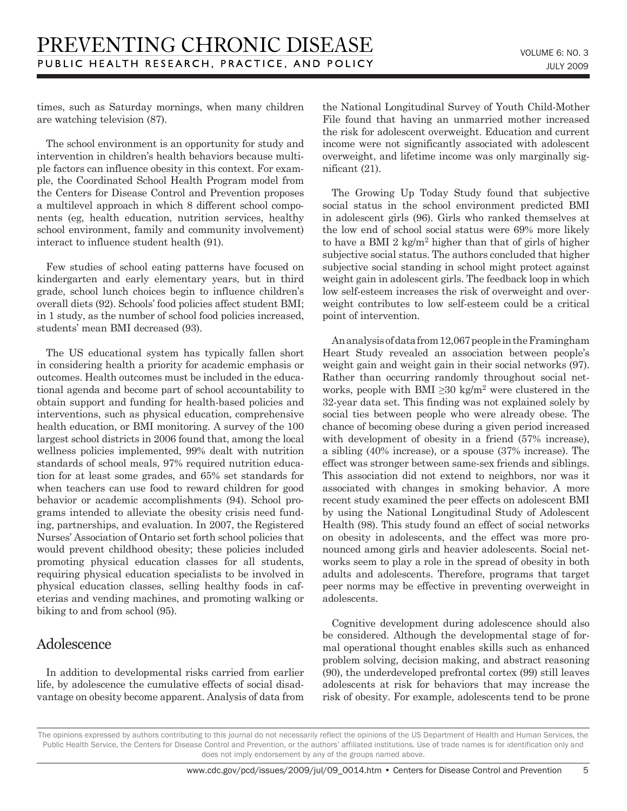times, such as Saturday mornings, when many children are watching television (87).

The school environment is an opportunity for study and intervention in children's health behaviors because multiple factors can influence obesity in this context. For example, the Coordinated School Health Program model from the Centers for Disease Control and Prevention proposes a multilevel approach in which 8 different school components (eg, health education, nutrition services, healthy school environment, family and community involvement) interact to influence student health (91).

Few studies of school eating patterns have focused on kindergarten and early elementary years, but in third grade, school lunch choices begin to influence children's overall diets (92). Schools' food policies affect student BMI; in 1 study, as the number of school food policies increased, students' mean BMI decreased (93).

The US educational system has typically fallen short in considering health a priority for academic emphasis or outcomes. Health outcomes must be included in the educational agenda and become part of school accountability to obtain support and funding for health-based policies and interventions, such as physical education, comprehensive health education, or BMI monitoring. A survey of the 100 largest school districts in 2006 found that, among the local wellness policies implemented, 99% dealt with nutrition standards of school meals, 97% required nutrition education for at least some grades, and 65% set standards for when teachers can use food to reward children for good behavior or academic accomplishments (94). School programs intended to alleviate the obesity crisis need funding, partnerships, and evaluation. In 2007, the Registered Nurses' Association of Ontario set forth school policies that would prevent childhood obesity; these policies included promoting physical education classes for all students, requiring physical education specialists to be involved in physical education classes, selling healthy foods in cafeterias and vending machines, and promoting walking or biking to and from school (95).

## Adolescence

In addition to developmental risks carried from earlier life, by adolescence the cumulative effects of social disadvantage on obesity become apparent. Analysis of data from the National Longitudinal Survey of Youth Child-Mother File found that having an unmarried mother increased the risk for adolescent overweight. Education and current income were not significantly associated with adolescent overweight, and lifetime income was only marginally significant (21).

The Growing Up Today Study found that subjective social status in the school environment predicted BMI in adolescent girls (96). Girls who ranked themselves at the low end of school social status were 69% more likely to have a BMI 2 kg/ $m^2$  higher than that of girls of higher subjective social status. The authors concluded that higher subjective social standing in school might protect against weight gain in adolescent girls. The feedback loop in which low self-esteem increases the risk of overweight and overweight contributes to low self-esteem could be a critical point of intervention.

An analysis of data from 12,067 people in the Framingham Heart Study revealed an association between people's weight gain and weight gain in their social networks (97). Rather than occurring randomly throughout social networks, people with BMI  $\geq$ 30 kg/m<sup>2</sup> were clustered in the 32-year data set. This finding was not explained solely by social ties between people who were already obese. The chance of becoming obese during a given period increased with development of obesity in a friend (57% increase), a sibling (40% increase), or a spouse (37% increase). The effect was stronger between same-sex friends and siblings. This association did not extend to neighbors, nor was it associated with changes in smoking behavior. A more recent study examined the peer effects on adolescent BMI by using the National Longitudinal Study of Adolescent Health (98). This study found an effect of social networks on obesity in adolescents, and the effect was more pronounced among girls and heavier adolescents. Social networks seem to play a role in the spread of obesity in both adults and adolescents. Therefore, programs that target peer norms may be effective in preventing overweight in adolescents.

Cognitive development during adolescence should also be considered. Although the developmental stage of formal operational thought enables skills such as enhanced problem solving, decision making, and abstract reasoning (90), the underdeveloped prefrontal cortex (99) still leaves adolescents at risk for behaviors that may increase the risk of obesity. For example, adolescents tend to be prone

The opinions expressed by authors contributing to this journal do not necessarily reflect the opinions of the US Department of Health and Human Services, the Public Health Service, the Centers for Disease Control and Prevention, or the authors' affiliated institutions. Use of trade names is for identification only and does not imply endorsement by any of the groups named above.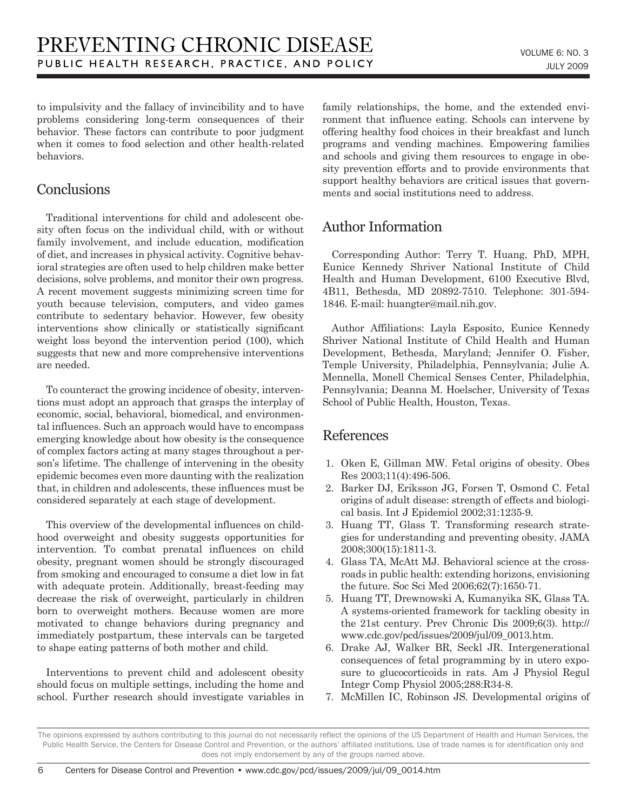to impulsivity and the fallacy of invincibility and to have problems considering long-term consequences of their behavior. These factors can contribute to poor judgment when it comes to food selection and other health-related behaviors.

## **Conclusions**

Traditional interventions for child and adolescent obesity often focus on the individual child, with or without family involvement, and include education, modification of diet, and increases in physical activity. Cognitive behavioral strategies are often used to help children make better decisions, solve problems, and monitor their own progress. A recent movement suggests minimizing screen time for youth because television, computers, and video games contribute to sedentary behavior. However, few obesity interventions show clinically or statistically significant weight loss beyond the intervention period (100), which suggests that new and more comprehensive interventions are needed.

To counteract the growing incidence of obesity, interventions must adopt an approach that grasps the interplay of economic, social, behavioral, biomedical, and environmental influences. Such an approach would have to encompass emerging knowledge about how obesity is the consequence of complex factors acting at many stages throughout a person's lifetime. The challenge of intervening in the obesity epidemic becomes even more daunting with the realization that, in children and adolescents, these influences must be considered separately at each stage of development.

This overview of the developmental influences on childhood overweight and obesity suggests opportunities for intervention. To combat prenatal influences on child obesity, pregnant women should be strongly discouraged from smoking and encouraged to consume a diet low in fat with adequate protein. Additionally, breast-feeding may decrease the risk of overweight, particularly in children born to overweight mothers. Because women are more motivated to change behaviors during pregnancy and immediately postpartum, these intervals can be targeted to shape eating patterns of both mother and child.

Interventions to prevent child and adolescent obesity should focus on multiple settings, including the home and school. Further research should investigate variables in family relationships, the home, and the extended environment that influence eating. Schools can intervene by offering healthy food choices in their breakfast and lunch programs and vending machines. Empowering families and schools and giving them resources to engage in obesity prevention efforts and to provide environments that support healthy behaviors are critical issues that governments and social institutions need to address.

## Author Information

Corresponding Author: Terry T. Huang, PhD, MPH, Eunice Kennedy Shriver National Institute of Child Health and Human Development, 6100 Executive Blvd, 4B11, Bethesda, MD 20892-7510. Telephone: 301-594- 1846. E-mail: huangter@mail.nih.gov.

Author Affiliations: Layla Esposito, Eunice Kennedy Shriver National Institute of Child Health and Human Development, Bethesda, Maryland; Jennifer O. Fisher, Temple University, Philadelphia, Pennsylvania; Julie A. Mennella, Monell Chemical Senses Center, Philadelphia, Pennsylvania; Deanna M. Hoelscher, University of Texas School of Public Health, Houston, Texas.

## References

- 1. Oken E, Gillman MW. Fetal origins of obesity. Obes Res 2003;11(4):496-506.
- 2. Barker DJ, Eriksson JG, Forsen T, Osmond C. Fetal origins of adult disease: strength of effects and biological basis. Int J Epidemiol 2002;31:1235-9.
- 3. Huang TT, Glass T. Transforming research strategies for understanding and preventing obesity. JAMA 2008;300(15):1811-3.
- 4. Glass TA, McAtt MJ. Behavioral science at the crossroads in public health: extending horizons, envisioning the future. Soc Sci Med 2006;62(7):1650-71.
- 5. Huang TT, Drewnowski A, Kumanyika SK, Glass TA. A systems-oriented framework for tackling obesity in the 21st century. Prev Chronic Dis 2009;6(3). http:// www.cdc.gov/pcd/issues/2009/jul/09\_0013.htm.
- 6. Drake AJ, Walker BR, Seckl JR. Intergenerational consequences of fetal programming by in utero exposure to glucocorticoids in rats. Am J Physiol Regul Integr Comp Physiol 2005;288:R34-8.
- 7. McMillen IC, Robinson JS. Developmental origins of

The opinions expressed by authors contributing to this journal do not necessarily reflect the opinions of the US Department of Health and Human Services, the Public Health Service, the Centers for Disease Control and Prevention, or the authors' affiliated institutions. Use of trade names is for identification only and does not imply endorsement by any of the groups named above.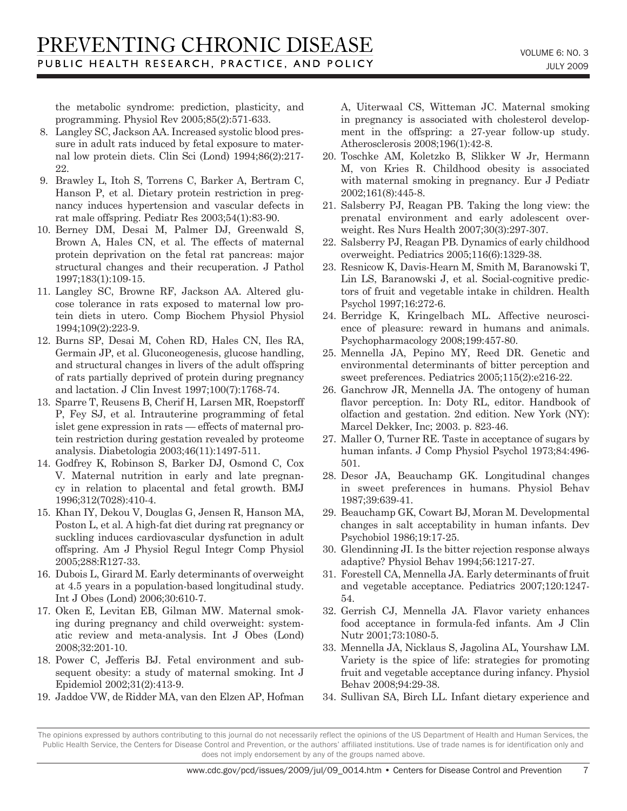the metabolic syndrome: prediction, plasticity, and programming. Physiol Rev 2005;85(2):571-633.

- 8. Langley SC, Jackson AA. Increased systolic blood pressure in adult rats induced by fetal exposure to maternal low protein diets. Clin Sci (Lond) 1994;86(2):217- 22.
- 9. Brawley L, Itoh S, Torrens C, Barker A, Bertram C, Hanson P, et al. Dietary protein restriction in pregnancy induces hypertension and vascular defects in rat male offspring. Pediatr Res 2003;54(1):83-90.
- 10. Berney DM, Desai M, Palmer DJ, Greenwald S, Brown A, Hales CN, et al. The effects of maternal protein deprivation on the fetal rat pancreas: major structural changes and their recuperation. J Pathol 1997;183(1):109-15.
- 11. Langley SC, Browne RF, Jackson AA. Altered glucose tolerance in rats exposed to maternal low protein diets in utero. Comp Biochem Physiol Physiol 1994;109(2):223-9.
- 12. Burns SP, Desai M, Cohen RD, Hales CN, Iles RA, Germain JP, et al. Gluconeogenesis, glucose handling, and structural changes in livers of the adult offspring of rats partially deprived of protein during pregnancy and lactation. J Clin Invest 1997;100(7):1768-74.
- 13. Sparre T, Reusens B, Cherif H, Larsen MR, Roepstorff P, Fey SJ, et al. Intrauterine programming of fetal islet gene expression in rats — effects of maternal protein restriction during gestation revealed by proteome analysis. Diabetologia 2003;46(11):1497-511.
- 14. Godfrey K, Robinson S, Barker DJ, Osmond C, Cox V. Maternal nutrition in early and late pregnancy in relation to placental and fetal growth. BMJ 1996;312(7028):410-4.
- 15. Khan IY, Dekou V, Douglas G, Jensen R, Hanson MA, Poston L, et al. A high-fat diet during rat pregnancy or suckling induces cardiovascular dysfunction in adult offspring. Am J Physiol Regul Integr Comp Physiol 2005;288:R127-33.
- 16. Dubois L, Girard M. Early determinants of overweight at 4.5 years in a population-based longitudinal study. Int J Obes (Lond) 2006;30:610-7.
- 17. Oken E, Levitan EB, Gilman MW. Maternal smoking during pregnancy and child overweight: systematic review and meta-analysis. Int J Obes (Lond) 2008;32:201-10.
- 18. Power C, Jefferis BJ. Fetal environment and subsequent obesity: a study of maternal smoking. Int J Epidemiol 2002;31(2):413-9.
- 19. Jaddoe VW, de Ridder MA, van den Elzen AP, Hofman

A, Uiterwaal CS, Witteman JC. Maternal smoking in pregnancy is associated with cholesterol development in the offspring: a 27-year follow-up study. Atherosclerosis 2008;196(1):42-8.

- 20. Toschke AM, Koletzko B, Slikker W Jr, Hermann M, von Kries R. Childhood obesity is associated with maternal smoking in pregnancy. Eur J Pediatr 2002;161(8):445-8.
- 21. Salsberry PJ, Reagan PB. Taking the long view: the prenatal environment and early adolescent overweight. Res Nurs Health 2007;30(3):297-307.
- 22. Salsberry PJ, Reagan PB. Dynamics of early childhood overweight. Pediatrics 2005;116(6):1329-38.
- 23. Resnicow K, Davis-Hearn M, Smith M, Baranowski T, Lin LS, Baranowski J, et al. Social-cognitive predictors of fruit and vegetable intake in children. Health Psychol 1997;16:272-6.
- 24. Berridge K, Kringelbach ML. Affective neuroscience of pleasure: reward in humans and animals. Psychopharmacology 2008;199:457-80.
- 25. Mennella JA, Pepino MY, Reed DR. Genetic and environmental determinants of bitter perception and sweet preferences. Pediatrics 2005;115(2):e216-22.
- 26. Ganchrow JR, Mennella JA. The ontogeny of human flavor perception. In: Doty RL, editor. Handbook of olfaction and gestation. 2nd edition. New York (NY): Marcel Dekker, Inc; 2003. p. 823-46.
- 27. Maller O, Turner RE. Taste in acceptance of sugars by human infants. J Comp Physiol Psychol 1973;84:496- 501.
- 28. Desor JA, Beauchamp GK. Longitudinal changes in sweet preferences in humans. Physiol Behav 1987;39:639-41.
- 29. Beauchamp GK, Cowart BJ, Moran M. Developmental changes in salt acceptability in human infants. Dev Psychobiol 1986;19:17-25.
- 30. Glendinning JI. Is the bitter rejection response always adaptive? Physiol Behav 1994;56:1217-27.
- 31. Forestell CA, Mennella JA. Early determinants of fruit and vegetable acceptance. Pediatrics 2007;120:1247- 54.
- 32. Gerrish CJ, Mennella JA. Flavor variety enhances food acceptance in formula-fed infants. Am J Clin Nutr 2001;73:1080-5.
- 33. Mennella JA, Nicklaus S, Jagolina AL, Yourshaw LM. Variety is the spice of life: strategies for promoting fruit and vegetable acceptance during infancy. Physiol Behav 2008;94:29-38.
- 34. Sullivan SA, Birch LL. Infant dietary experience and

The opinions expressed by authors contributing to this journal do not necessarily reflect the opinions of the US Department of Health and Human Services, the Public Health Service, the Centers for Disease Control and Prevention, or the authors' affiliated institutions. Use of trade names is for identification only and does not imply endorsement by any of the groups named above.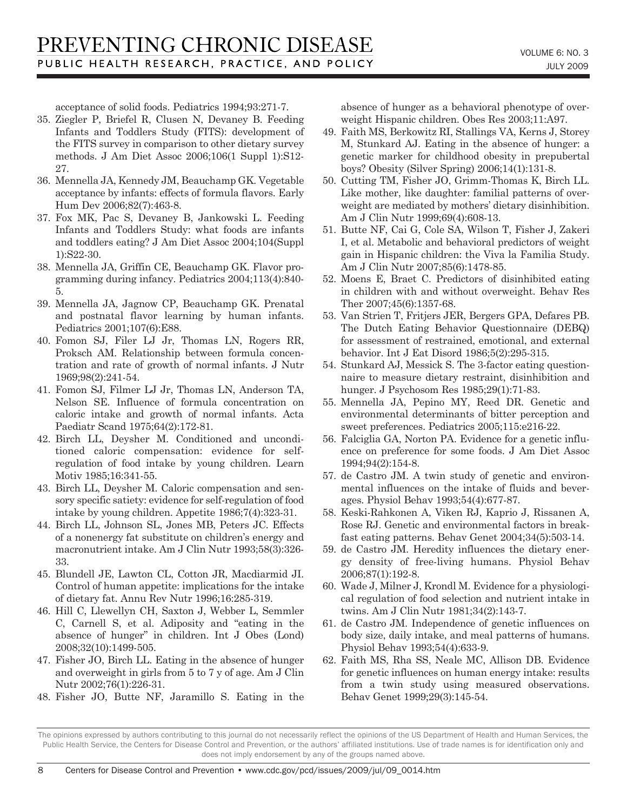acceptance of solid foods. Pediatrics 1994;93:271-7.

- 35. Ziegler P, Briefel R, Clusen N, Devaney B. Feeding Infants and Toddlers Study (FITS): development of the FITS survey in comparison to other dietary survey methods. J Am Diet Assoc 2006;106(1 Suppl 1):S12- 27.
- 36. Mennella JA, Kennedy JM, Beauchamp GK. Vegetable acceptance by infants: effects of formula flavors. Early Hum Dev 2006;82(7):463-8.
- 37. Fox MK, Pac S, Devaney B, Jankowski L. Feeding Infants and Toddlers Study: what foods are infants and toddlers eating? J Am Diet Assoc 2004;104(Suppl 1):S22-30.
- 38. Mennella JA, Griffin CE, Beauchamp GK. Flavor programming during infancy. Pediatrics 2004;113(4):840- 5.
- 39. Mennella JA, Jagnow CP, Beauchamp GK. Prenatal and postnatal flavor learning by human infants. Pediatrics 2001;107(6):E88.
- 40. Fomon SJ, Filer LJ Jr, Thomas LN, Rogers RR, Proksch AM. Relationship between formula concentration and rate of growth of normal infants. J Nutr 1969;98(2):241-54.
- 41. Fomon SJ, Filmer LJ Jr, Thomas LN, Anderson TA, Nelson SE. Influence of formula concentration on caloric intake and growth of normal infants. Acta Paediatr Scand 1975;64(2):172-81.
- 42. Birch LL, Deysher M. Conditioned and unconditioned caloric compensation: evidence for selfregulation of food intake by young children. Learn Motiv 1985;16:341-55.
- 43. Birch LL, Deysher M. Caloric compensation and sensory specific satiety: evidence for self-regulation of food intake by young children. Appetite 1986;7(4):323-31.
- 44. Birch LL, Johnson SL, Jones MB, Peters JC. Effects of a nonenergy fat substitute on children's energy and macronutrient intake. Am J Clin Nutr 1993;58(3):326- 33.
- 45. Blundell JE, Lawton CL, Cotton JR, Macdiarmid JI. Control of human appetite: implications for the intake of dietary fat. Annu Rev Nutr 1996;16:285-319.
- 46. Hill C, Llewellyn CH, Saxton J, Webber L, Semmler C, Carnell S, et al. Adiposity and "eating in the absence of hunger" in children. Int J Obes (Lond) 2008;32(10):1499-505.
- 47. Fisher JO, Birch LL. Eating in the absence of hunger and overweight in girls from 5 to 7 y of age. Am J Clin Nutr 2002;76(1):226-31.
- 48. Fisher JO, Butte NF, Jaramillo S. Eating in the

absence of hunger as a behavioral phenotype of overweight Hispanic children. Obes Res 2003;11:A97.

- 49. Faith MS, Berkowitz RI, Stallings VA, Kerns J, Storey M, Stunkard AJ. Eating in the absence of hunger: a genetic marker for childhood obesity in prepubertal boys? Obesity (Silver Spring) 2006;14(1):131-8.
- 50. Cutting TM, Fisher JO, Grimm-Thomas K, Birch LL. Like mother, like daughter: familial patterns of overweight are mediated by mothers' dietary disinhibition. Am J Clin Nutr 1999;69(4):608-13.
- 51. Butte NF, Cai G, Cole SA, Wilson T, Fisher J, Zakeri I, et al. Metabolic and behavioral predictors of weight gain in Hispanic children: the Viva la Familia Study. Am J Clin Nutr 2007;85(6):1478-85.
- 52. Moens E, Braet C. Predictors of disinhibited eating in children with and without overweight. Behav Res Ther 2007;45(6):1357-68.
- 53. Van Strien T, Fritjers JER, Bergers GPA, Defares PB. The Dutch Eating Behavior Questionnaire (DEBQ) for assessment of restrained, emotional, and external behavior. Int J Eat Disord 1986;5(2):295-315.
- 54. Stunkard AJ, Messick S. The 3-factor eating questionnaire to measure dietary restraint, disinhibition and hunger. J Psychosom Res 1985;29(1):71-83.
- 55. Mennella JA, Pepino MY, Reed DR. Genetic and environmental determinants of bitter perception and sweet preferences. Pediatrics 2005;115:e216-22.
- 56. Falciglia GA, Norton PA. Evidence for a genetic influence on preference for some foods. J Am Diet Assoc 1994;94(2):154-8.
- 57. de Castro JM. A twin study of genetic and environmental influences on the intake of fluids and beverages. Physiol Behav 1993;54(4):677-87.
- 58. Keski-Rahkonen A, Viken RJ, Kaprio J, Rissanen A, Rose RJ. Genetic and environmental factors in breakfast eating patterns. Behav Genet 2004;34(5):503-14.
- 59. de Castro JM. Heredity influences the dietary energy density of free-living humans. Physiol Behav 2006;87(1):192-8.
- 60. Wade J, Milner J, Krondl M. Evidence for a physiological regulation of food selection and nutrient intake in twins. Am J Clin Nutr 1981;34(2):143-7.
- 61. de Castro JM. Independence of genetic influences on body size, daily intake, and meal patterns of humans. Physiol Behav 1993;54(4):633-9.
- 62. Faith MS, Rha SS, Neale MC, Allison DB. Evidence for genetic influences on human energy intake: results from a twin study using measured observations. Behav Genet 1999;29(3):145-54.

The opinions expressed by authors contributing to this journal do not necessarily reflect the opinions of the US Department of Health and Human Services, the Public Health Service, the Centers for Disease Control and Prevention, or the authors' affiliated institutions. Use of trade names is for identification only and does not imply endorsement by any of the groups named above.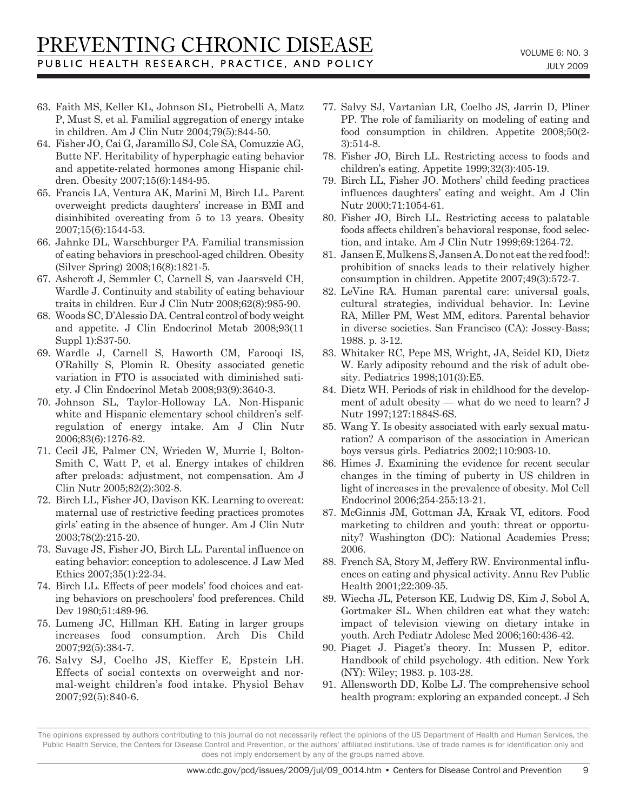- 63. Faith MS, Keller KL, Johnson SL, Pietrobelli A, Matz P, Must S, et al. Familial aggregation of energy intake in children. Am J Clin Nutr 2004;79(5):844-50.
- 64. Fisher JO, Cai G, Jaramillo SJ, Cole SA, Comuzzie AG, Butte NF. Heritability of hyperphagic eating behavior and appetite-related hormones among Hispanic children. Obesity 2007;15(6):1484-95.
- 65. Francis LA, Ventura AK, Marini M, Birch LL. Parent overweight predicts daughters' increase in BMI and disinhibited overeating from 5 to 13 years. Obesity 2007;15(6):1544-53.
- 66. Jahnke DL, Warschburger PA. Familial transmission of eating behaviors in preschool-aged children. Obesity (Silver Spring) 2008;16(8):1821-5.
- 67. Ashcroft J, Semmler C, Carnell S, van Jaarsveld CH, Wardle J. Continuity and stability of eating behaviour traits in children. Eur J Clin Nutr 2008;62(8):985-90.
- 68. Woods SC, D'Alessio DA. Central control of body weight and appetite. J Clin Endocrinol Metab 2008;93(11 Suppl 1):S37-50.
- 69. Wardle J, Carnell S, Haworth CM, Farooqi IS, O'Rahilly S, Plomin R. Obesity associated genetic variation in FTO is associated with diminished satiety. J Clin Endocrinol Metab 2008;93(9):3640-3.
- 70. Johnson SL, Taylor-Holloway LA. Non-Hispanic white and Hispanic elementary school children's selfregulation of energy intake. Am J Clin Nutr 2006;83(6):1276-82.
- 71. Cecil JE, Palmer CN, Wrieden W, Murrie I, Bolton-Smith C, Watt P, et al. Energy intakes of children after preloads: adjustment, not compensation. Am J Clin Nutr 2005;82(2):302-8.
- 72. Birch LL, Fisher JO, Davison KK. Learning to overeat: maternal use of restrictive feeding practices promotes girls' eating in the absence of hunger. Am J Clin Nutr 2003;78(2):215-20.
- 73. Savage JS, Fisher JO, Birch LL. Parental influence on eating behavior: conception to adolescence. J Law Med Ethics 2007;35(1):22-34.
- 74. Birch LL. Effects of peer models' food choices and eating behaviors on preschoolers' food preferences. Child Dev 1980;51:489-96.
- 75. Lumeng JC, Hillman KH. Eating in larger groups increases food consumption. Arch Dis Child 2007;92(5):384-7.
- 76. Salvy SJ, Coelho JS, Kieffer E, Epstein LH. Effects of social contexts on overweight and normal-weight children's food intake. Physiol Behav 2007;92(5):840-6.
- 77. Salvy SJ, Vartanian LR, Coelho JS, Jarrin D, Pliner PP. The role of familiarity on modeling of eating and food consumption in children. Appetite 2008;50(2- 3):514-8.
- 78. Fisher JO, Birch LL. Restricting access to foods and children's eating. Appetite 1999;32(3):405-19.
- 79. Birch LL, Fisher JO. Mothers' child feeding practices influences daughters' eating and weight. Am J Clin Nutr 2000;71:1054-61.
- 80. Fisher JO, Birch LL. Restricting access to palatable foods affects children's behavioral response, food selection, and intake. Am J Clin Nutr 1999;69:1264-72.
- 81. Jansen E, Mulkens S, Jansen A. Do not eat the red food!: prohibition of snacks leads to their relatively higher consumption in children. Appetite 2007;49(3):572-7.
- 82. LeVine RA. Human parental care: universal goals, cultural strategies, individual behavior. In: Levine RA, Miller PM, West MM, editors. Parental behavior in diverse societies. San Francisco (CA): Jossey-Bass; 1988. p. 3-12.
- 83. Whitaker RC, Pepe MS, Wright, JA, Seidel KD, Dietz W. Early adiposity rebound and the risk of adult obesity. Pediatrics 1998;101(3):E5.
- 84. Dietz WH. Periods of risk in childhood for the development of adult obesity — what do we need to learn? J Nutr 1997;127:1884S-6S.
- 85. Wang Y. Is obesity associated with early sexual maturation? A comparison of the association in American boys versus girls. Pediatrics 2002;110:903-10.
- 86. Himes J. Examining the evidence for recent secular changes in the timing of puberty in US children in light of increases in the prevalence of obesity. Mol Cell Endocrinol 2006;254-255:13-21.
- 87. McGinnis JM, Gottman JA, Kraak VI, editors. Food marketing to children and youth: threat or opportunity? Washington (DC): National Academies Press; 2006.
- 88. French SA, Story M, Jeffery RW. Environmental influences on eating and physical activity. Annu Rev Public Health 2001;22:309-35.
- 89. Wiecha JL, Peterson KE, Ludwig DS, Kim J, Sobol A, Gortmaker SL. When children eat what they watch: impact of television viewing on dietary intake in youth. Arch Pediatr Adolesc Med 2006;160:436-42.
- 90. Piaget J. Piaget's theory. In: Mussen P, editor. Handbook of child psychology. 4th edition. New York (NY): Wiley; 1983. p. 103-28.
- 91. Allensworth DD, Kolbe LJ. The comprehensive school health program: exploring an expanded concept. J Sch

The opinions expressed by authors contributing to this journal do not necessarily reflect the opinions of the US Department of Health and Human Services, the Public Health Service, the Centers for Disease Control and Prevention, or the authors' affiliated institutions. Use of trade names is for identification only and does not imply endorsement by any of the groups named above.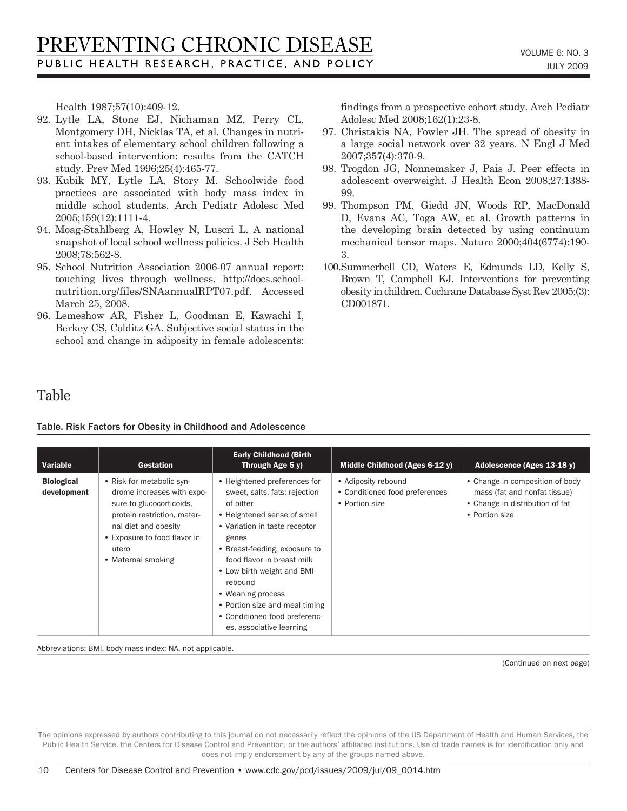Health 1987;57(10):409-12.

- 92. Lytle LA, Stone EJ, Nichaman MZ, Perry CL, Montgomery DH, Nicklas TA, et al. Changes in nutrient intakes of elementary school children following a school-based intervention: results from the CATCH study. Prev Med 1996;25(4):465-77.
- 93. Kubik MY, Lytle LA, Story M. Schoolwide food practices are associated with body mass index in middle school students. Arch Pediatr Adolesc Med 2005;159(12):1111-4.
- 94. Moag-Stahlberg A, Howley N, Luscri L. A national snapshot of local school wellness policies. J Sch Health 2008;78:562-8.
- 95. School Nutrition Association 2006-07 annual report: touching lives through wellness. http://docs.schoolnutrition.org/files/SNAannualRPT07.pdf. Accessed March 25, 2008.
- 96. Lemeshow AR, Fisher L, Goodman E, Kawachi I, Berkey CS, Colditz GA. Subjective social status in the school and change in adiposity in female adolescents:

findings from a prospective cohort study. Arch Pediatr Adolesc Med 2008;162(1):23-8.

- 97. Christakis NA, Fowler JH. The spread of obesity in a large social network over 32 years. N Engl J Med 2007;357(4):370-9.
- 98. Trogdon JG, Nonnemaker J, Pais J. Peer effects in adolescent overweight. J Health Econ 2008;27:1388- 99.
- 99. Thompson PM, Giedd JN, Woods RP, MacDonald D, Evans AC, Toga AW, et al. Growth patterns in the developing brain detected by using continuum mechanical tensor maps. Nature 2000;404(6774):190- 3.
- 100.Summerbell CD, Waters E, Edmunds LD, Kelly S, Brown T, Campbell KJ. Interventions for preventing obesity in children. Cochrane Database Syst Rev 2005;(3): CD001871.

## Table

Table. Risk Factors for Obesity in Childhood and Adolescence

| Variable                         | <b>Gestation</b>                                                                                                                                                                                          | <b>Early Childhood (Birth)</b><br>Through Age 5 y)                                                                                                                                                                                                                                                                                                                              | Middle Childhood (Ages 6-12 y)                                          | Adolescence (Ages 13-18 y)                                                                                           |
|----------------------------------|-----------------------------------------------------------------------------------------------------------------------------------------------------------------------------------------------------------|---------------------------------------------------------------------------------------------------------------------------------------------------------------------------------------------------------------------------------------------------------------------------------------------------------------------------------------------------------------------------------|-------------------------------------------------------------------------|----------------------------------------------------------------------------------------------------------------------|
| <b>Biological</b><br>development | • Risk for metabolic syn-<br>drome increases with expo-<br>sure to glucocorticoids,<br>protein restriction, mater-<br>nal diet and obesity<br>• Exposure to food flavor in<br>utero<br>• Maternal smoking | • Heightened preferences for<br>sweet, salts, fats; rejection<br>of bitter<br>• Heightened sense of smell<br>• Variation in taste receptor<br>genes<br>• Breast-feeding, exposure to<br>food flavor in breast milk<br>• Low birth weight and BMI<br>rebound<br>• Weaning process<br>• Portion size and meal timing<br>• Conditioned food preferenc-<br>es, associative learning | • Adiposity rebound<br>• Conditioned food preferences<br>• Portion size | • Change in composition of body<br>mass (fat and nonfat tissue)<br>• Change in distribution of fat<br>• Portion size |

Abbreviations: BMI, body mass index; NA, not applicable.

(Continued on next page)

The opinions expressed by authors contributing to this journal do not necessarily reflect the opinions of the US Department of Health and Human Services, the Public Health Service, the Centers for Disease Control and Prevention, or the authors' affiliated institutions. Use of trade names is for identification only and does not imply endorsement by any of the groups named above.